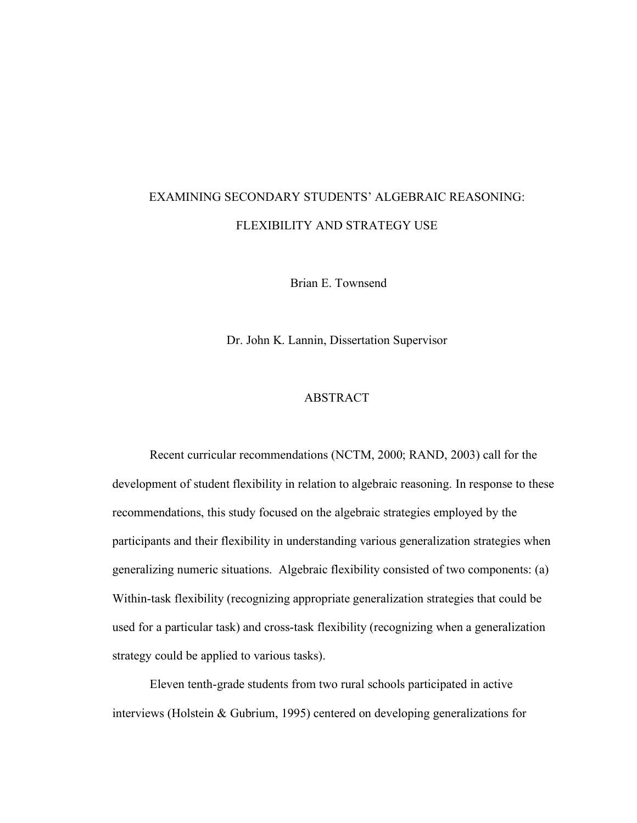## EXAMINING SECONDARY STUDENTS' ALGEBRAIC REASONING: FLEXIBILITY AND STRATEGY USE

Brian E. Townsend

Dr. John K. Lannin, Dissertation Supervisor

## ABSTRACT

Recent curricular recommendations (NCTM, 2000; RAND, 2003) call for the development of student flexibility in relation to algebraic reasoning. In response to these recommendations, this study focused on the algebraic strategies employed by the participants and their flexibility in understanding various generalization strategies when generalizing numeric situations. Algebraic flexibility consisted of two components: (a) Within-task flexibility (recognizing appropriate generalization strategies that could be used for a particular task) and cross-task flexibility (recognizing when a generalization strategy could be applied to various tasks).

Eleven tenth-grade students from two rural schools participated in active interviews (Holstein & Gubrium, 1995) centered on developing generalizations for